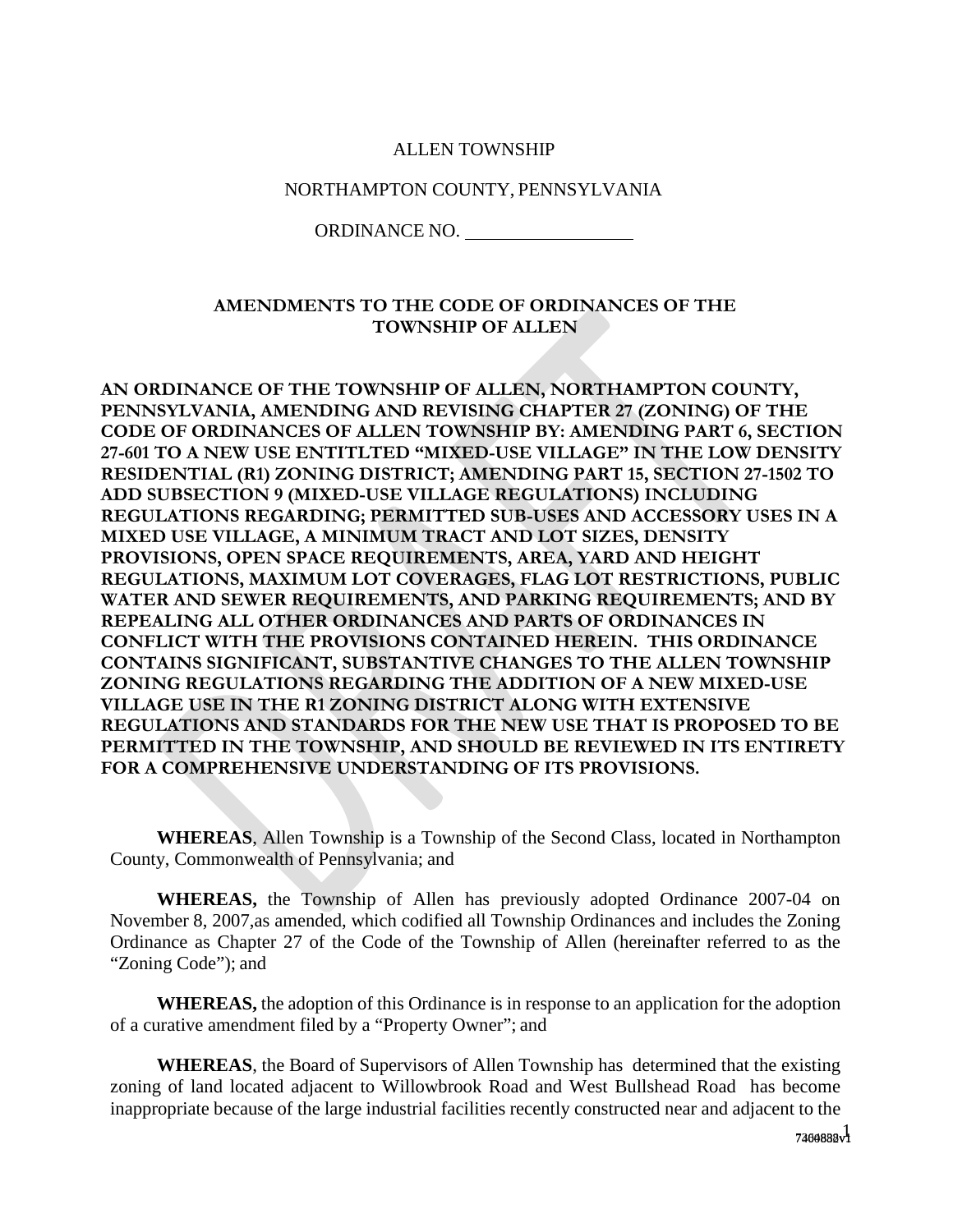#### ALLEN TOWNSHIP

#### NORTHAMPTON COUNTY, PENNSYLVANIA

ORDINANCE NO.

### **AMENDMENTS TO THE CODE OF ORDINANCES OF THE TOWNSHIP OF ALLEN**

**AN ORDINANCE OF THE TOWNSHIP OF ALLEN, NORTHAMPTON COUNTY, PENNSYLVANIA, AMENDING AND REVISING CHAPTER 27 (ZONING) OF THE CODE OF ORDINANCES OF ALLEN TOWNSHIP BY: AMENDING PART 6, SECTION 27-601 TO A NEW USE ENTITLTED "MIXED-USE VILLAGE" IN THE LOW DENSITY RESIDENTIAL (R1) ZONING DISTRICT; AMENDING PART 15, SECTION 27-1502 TO ADD SUBSECTION 9 (MIXED-USE VILLAGE REGULATIONS) INCLUDING REGULATIONS REGARDING; PERMITTED SUB-USES AND ACCESSORY USES IN A MIXED USE VILLAGE, A MINIMUM TRACT AND LOT SIZES, DENSITY PROVISIONS, OPEN SPACE REQUIREMENTS, AREA, YARD AND HEIGHT REGULATIONS, MAXIMUM LOT COVERAGES, FLAG LOT RESTRICTIONS, PUBLIC WATER AND SEWER REQUIREMENTS, AND PARKING REQUIREMENTS; AND BY REPEALING ALL OTHER ORDINANCES AND PARTS OF ORDINANCES IN CONFLICT WITH THE PROVISIONS CONTAINED HEREIN. THIS ORDINANCE CONTAINS SIGNIFICANT, SUBSTANTIVE CHANGES TO THE ALLEN TOWNSHIP ZONING REGULATIONS REGARDING THE ADDITION OF A NEW MIXED-USE VILLAGE USE IN THE R1 ZONING DISTRICT ALONG WITH EXTENSIVE REGULATIONS AND STANDARDS FOR THE NEW USE THAT IS PROPOSED TO BE PERMITTED IN THE TOWNSHIP, AND SHOULD BE REVIEWED IN ITS ENTIRETY FOR A COMPREHENSIVE UNDERSTANDING OF ITS PROVISIONS.** 

**WHEREAS**, Allen Township is a Township of the Second Class, located in Northampton County, Commonwealth of Pennsylvania; and

**WHEREAS,** the Township of Allen has previously adopted Ordinance 2007-04 on November 8, 2007,as amended, which codified all Township Ordinances and includes the Zoning Ordinance as Chapter 27 of the Code of the Township of Allen (hereinafter referred to as the "Zoning Code"); and

**WHEREAS,** the adoption of this Ordinance is in response to an application for the adoption of a curative amendment filed by a "Property Owner"; and

**WHEREAS**, the Board of Supervisors of Allen Township has determined that the existing zoning of land located adjacent to Willowbrook Road and West Bullshead Road has become inappropriate because of the large industrial facilities recently constructed near and adjacent to the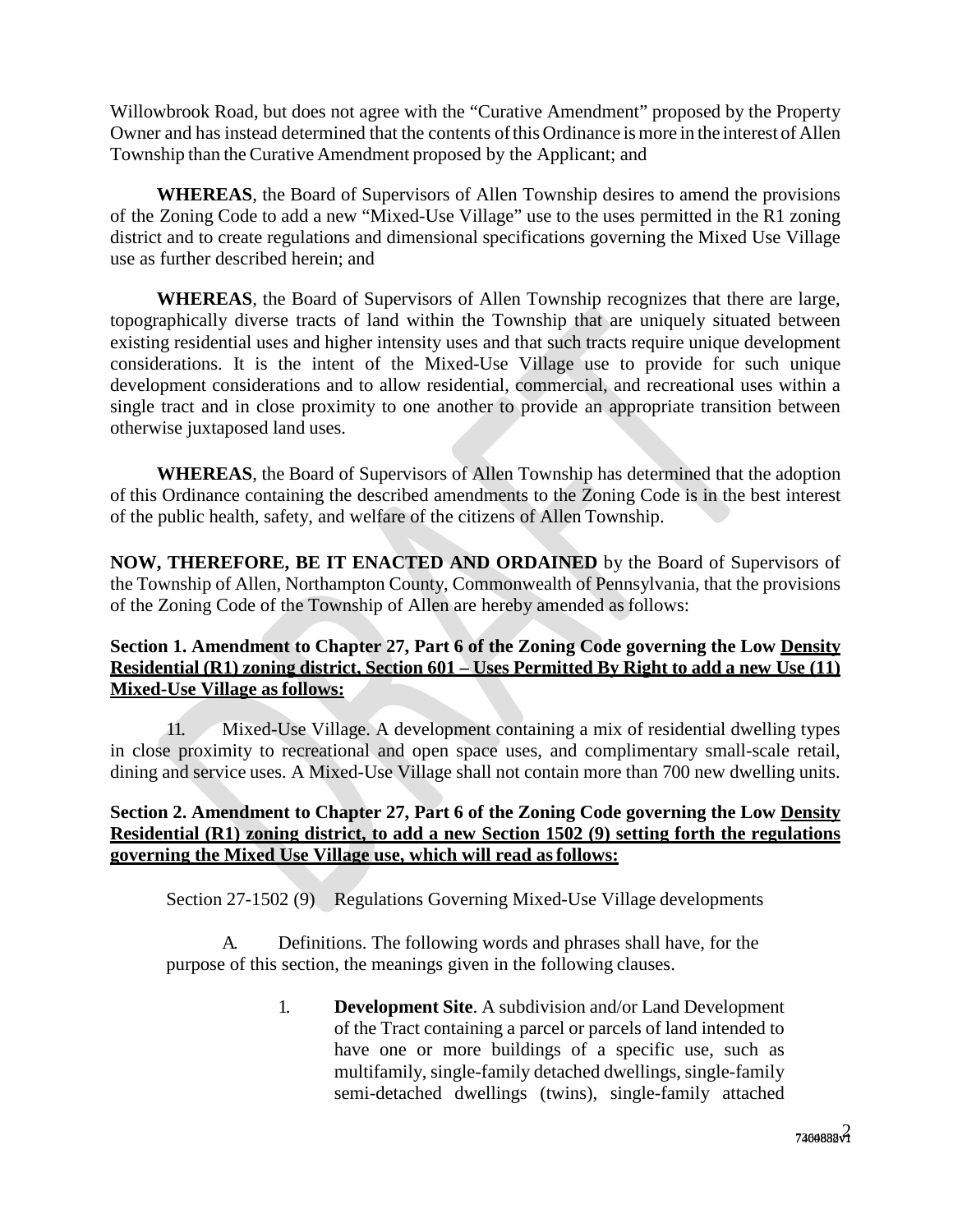Willowbrook Road, but does not agree with the "Curative Amendment" proposed by the Property Owner and has instead determined that the contents of this Ordinance is more in the interest of Allen Township than the Curative Amendment proposed by the Applicant; and

**WHEREAS**, the Board of Supervisors of Allen Township desires to amend the provisions of the Zoning Code to add a new "Mixed-Use Village" use to the uses permitted in the R1 zoning district and to create regulations and dimensional specifications governing the Mixed Use Village use as further described herein; and

**WHEREAS**, the Board of Supervisors of Allen Township recognizes that there are large, topographically diverse tracts of land within the Township that are uniquely situated between existing residential uses and higher intensity uses and that such tracts require unique development considerations. It is the intent of the Mixed-Use Village use to provide for such unique development considerations and to allow residential, commercial, and recreational uses within a single tract and in close proximity to one another to provide an appropriate transition between otherwise juxtaposed land uses.

**WHEREAS**, the Board of Supervisors of Allen Township has determined that the adoption of this Ordinance containing the described amendments to the Zoning Code is in the best interest of the public health, safety, and welfare of the citizens of Allen Township.

**NOW, THEREFORE, BE IT ENACTED AND ORDAINED** by the Board of Supervisors of the Township of Allen, Northampton County, Commonwealth of Pennsylvania, that the provisions of the Zoning Code of the Township of Allen are hereby amended as follows:

# **Section 1. Amendment to Chapter 27, Part 6 of the Zoning Code governing the Low Density Residential (R1) zoning district, Section 601 – Uses Permitted By Right to add a new Use (11) Mixed-Use Village as follows:**

11. Mixed-Use Village. A development containing a mix of residential dwelling types in close proximity to recreational and open space uses, and complimentary small-scale retail, dining and service uses. A Mixed-Use Village shall not contain more than 700 new dwelling units.

### **Section 2. Amendment to Chapter 27, Part 6 of the Zoning Code governing the Low Density Residential (R1) zoning district, to add a new Section 1502 (9) setting forth the regulations governing the Mixed Use Village use, which will read as follows:**

Section 27-1502 (9) Regulations Governing Mixed-Use Village developments

Definitions. The following words and phrases shall have, for the purpose of this section, the meanings given in the following clauses.

> 1. **Development Site**. A subdivision and/or Land Development of the Tract containing a parcel or parcels of land intended to have one or more buildings of a specific use, such as multifamily, single-family detached dwellings, single-family semi-detached dwellings (twins), single-family attached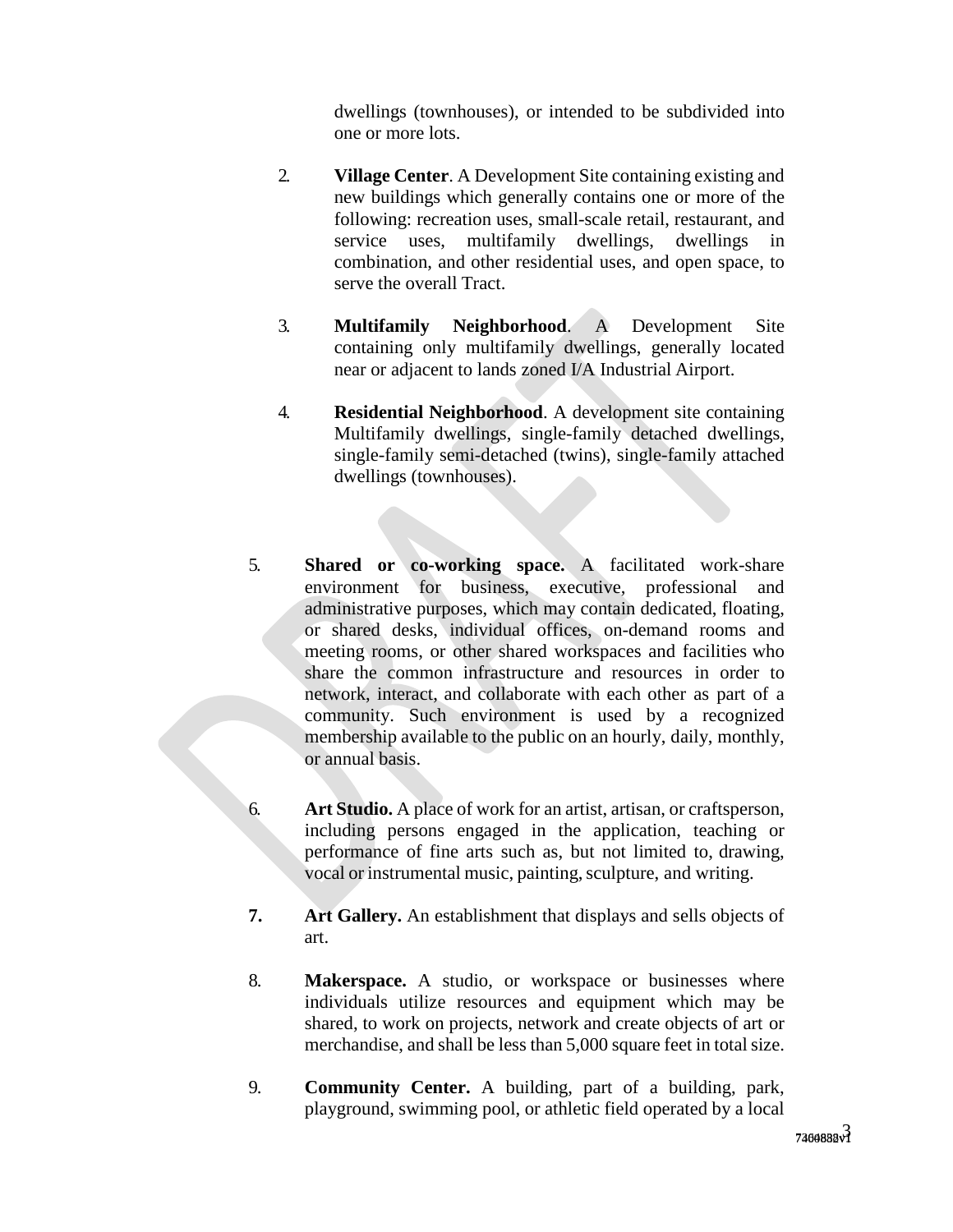dwellings (townhouses), or intended to be subdivided into one or more lots.

- 2. **Village Center**. A Development Site containing existing and new buildings which generally contains one or more of the following: recreation uses, small-scale retail, restaurant, and service uses, multifamily dwellings, dwellings in combination, and other residential uses, and open space, to serve the overall Tract.
- 3. **Multifamily Neighborhood**. A Development Site containing only multifamily dwellings, generally located near or adjacent to lands zoned I/A Industrial Airport.
- 4. **Residential Neighborhood**. A development site containing Multifamily dwellings, single-family detached dwellings, single-family semi-detached (twins), single-family attached dwellings (townhouses).
- 5. **Shared or co-working space.** A facilitated work-share environment for business, executive, professional and administrative purposes, which may contain dedicated, floating, or shared desks, individual offices, on-demand rooms and meeting rooms, or other shared workspaces and facilities who share the common infrastructure and resources in order to network, interact, and collaborate with each other as part of a community. Such environment is used by a recognized membership available to the public on an hourly, daily, monthly, or annual basis.
- 6. **Art Studio.** A place of work for an artist, artisan, or craftsperson, including persons engaged in the application, teaching or performance of fine arts such as, but not limited to, drawing, vocal or instrumental music, painting, sculpture, and writing.
- **7. Art Gallery.** An establishment that displays and sells objects of art.
- 8. **Makerspace.** A studio, or workspace or businesses where individuals utilize resources and equipment which may be shared, to work on projects, network and create objects of art or merchandise, and shall be less than 5,000 square feet in total size.
- 9. **Community Center.** A building, part of a building, park, playground, swimming pool, or athletic field operated by a local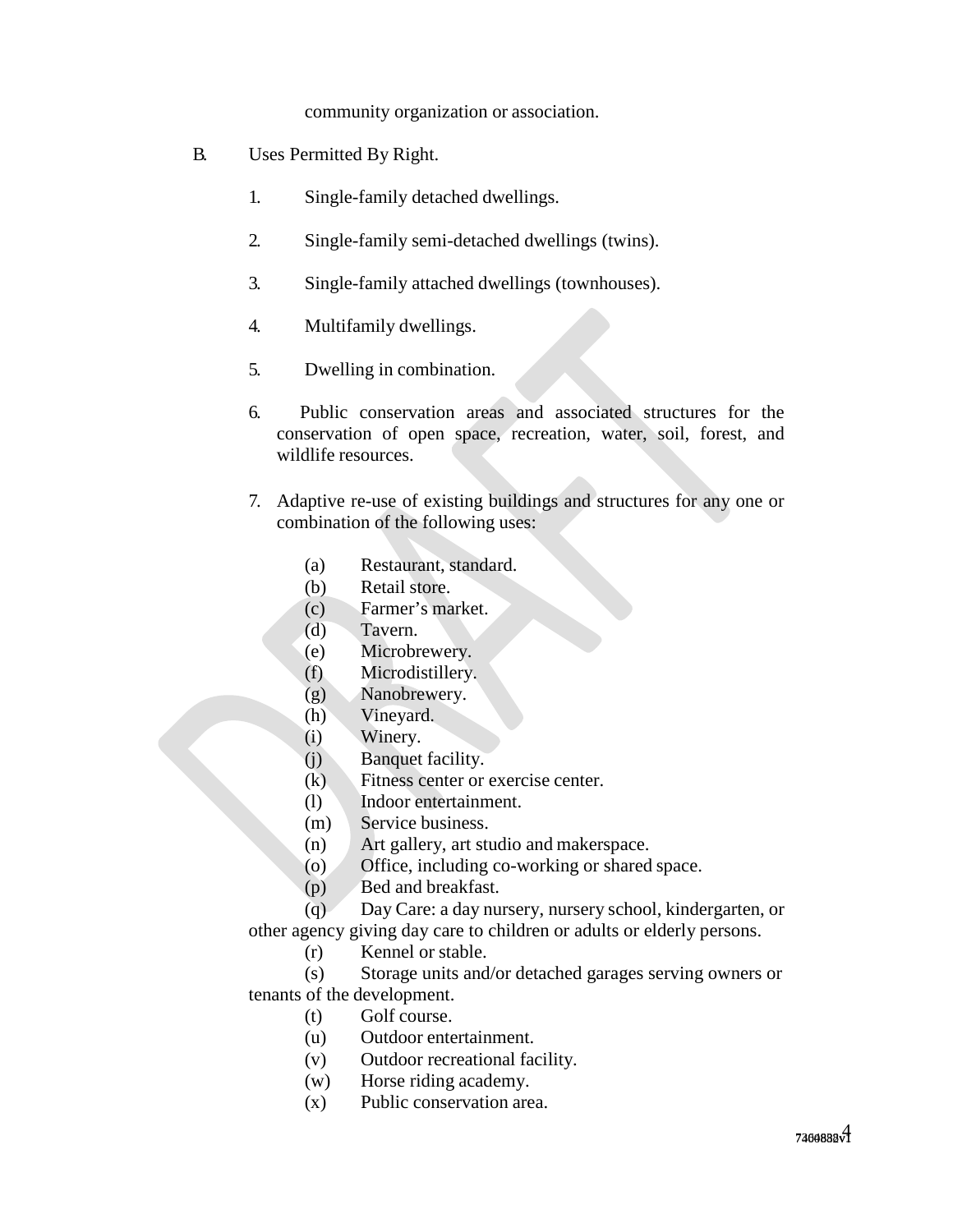community organization or association.

- B. Uses Permitted By Right.
	- 1. Single-family detached dwellings.
	- 2. Single-family semi-detached dwellings (twins).
	- 3. Single-family attached dwellings (townhouses).
	- 4. Multifamily dwellings.
	- 5. Dwelling in combination.
	- 6. Public conservation areas and associated structures for the conservation of open space, recreation, water, soil, forest, and wildlife resources.
	- 7. Adaptive re-use of existing buildings and structures for any one or combination of the following uses:
		- (a) Restaurant, standard.
		- (b) Retail store.
		- (c) Farmer's market.
		- (d) Tavern.
		- (e) Microbrewery.
		- (f) Microdistillery.
		- (g) Nanobrewery.
		- (h) Vineyard.
		- (i) Winery.
		- (j) Banquet facility.
		- (k) Fitness center or exercise center.
		- (l) Indoor entertainment.
		- (m) Service business.
		- (n) Art gallery, art studio and makerspace.
		- (o) Office, including co-working or shared space.
		- (p) Bed and breakfast.

(q) Day Care: a day nursery, nursery school, kindergarten, or

other agency giving day care to children or adults or elderly persons.

(r) Kennel or stable.

(s) Storage units and/or detached garages serving owners or tenants of the development.

- (t) Golf course.
- (u) Outdoor entertainment.
- (v) Outdoor recreational facility.
- (w) Horse riding academy.
- (x) Public conservation area.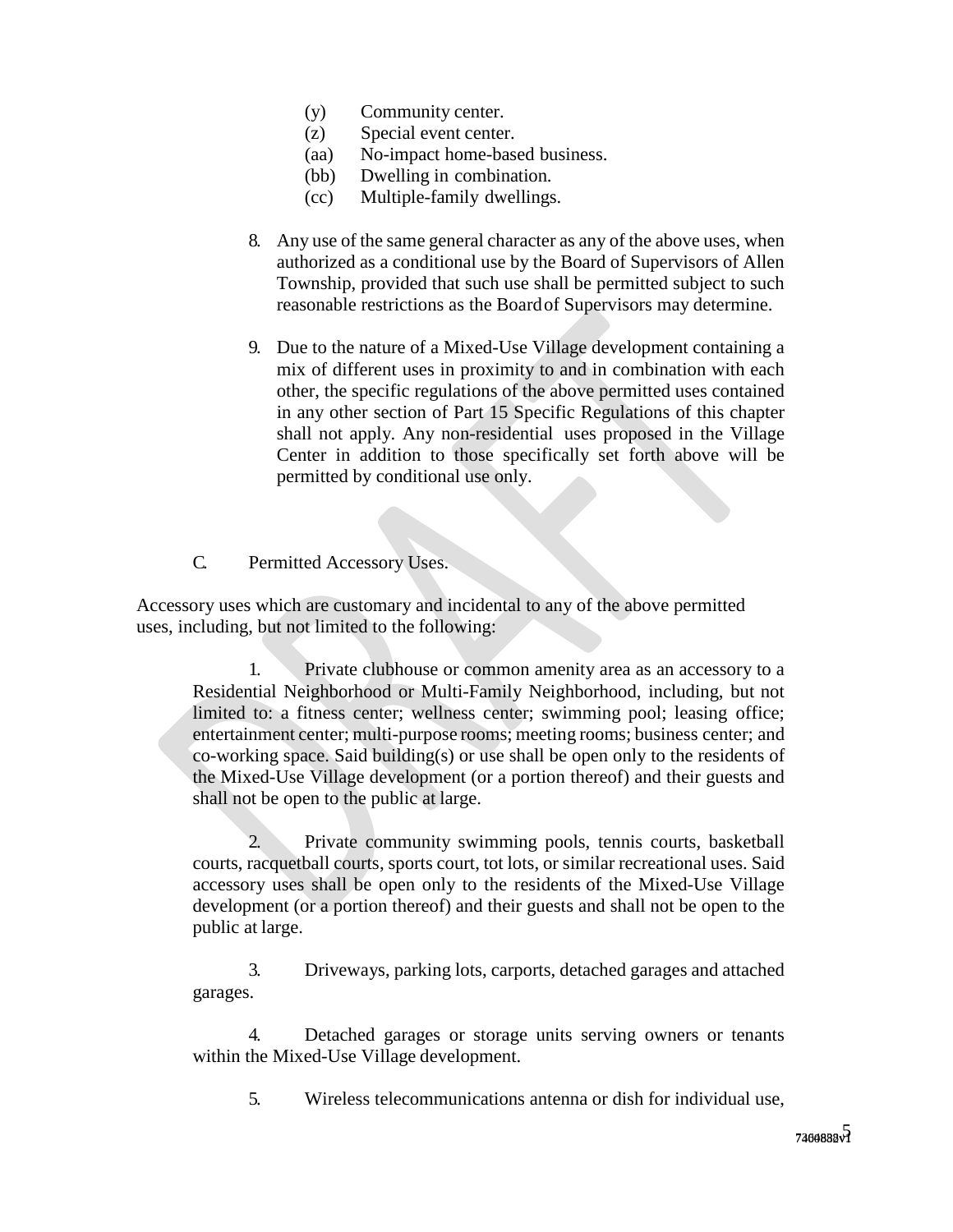- (y) Community center.
- (z) Special event center.
- (aa) No-impact home-based business.
- (bb) Dwelling in combination.
- (cc) Multiple-family dwellings.
- 8. Any use of the same general character as any of the above uses, when authorized as a conditional use by the Board of Supervisors of Allen Township, provided that such use shall be permitted subject to such reasonable restrictions as the Board of Supervisors may determine.
- 9. Due to the nature of a Mixed-Use Village development containing a mix of different uses in proximity to and in combination with each other, the specific regulations of the above permitted uses contained in any other section of Part 15 Specific Regulations of this chapter shall not apply. Any non-residential uses proposed in the Village Center in addition to those specifically set forth above will be permitted by conditional use only.

C. Permitted Accessory Uses.

Accessory uses which are customary and incidental to any of the above permitted uses, including, but not limited to the following:

1. Private clubhouse or common amenity area as an accessory to a Residential Neighborhood or Multi-Family Neighborhood, including, but not limited to: a fitness center; wellness center; swimming pool; leasing office; entertainment center; multi-purpose rooms; meeting rooms; business center; and co-working space. Said building(s) or use shall be open only to the residents of the Mixed-Use Village development (or a portion thereof) and their guests and shall not be open to the public at large.

2. Private community swimming pools, tennis courts, basketball courts, racquetball courts, sports court, tot lots, or similar recreational uses. Said accessory uses shall be open only to the residents of the Mixed-Use Village development (or a portion thereof) and their guests and shall not be open to the public at large.

3. Driveways, parking lots, carports, detached garages and attached garages.

4. Detached garages or storage units serving owners or tenants within the Mixed-Use Village development.

5. Wireless telecommunications antenna or dish for individual use,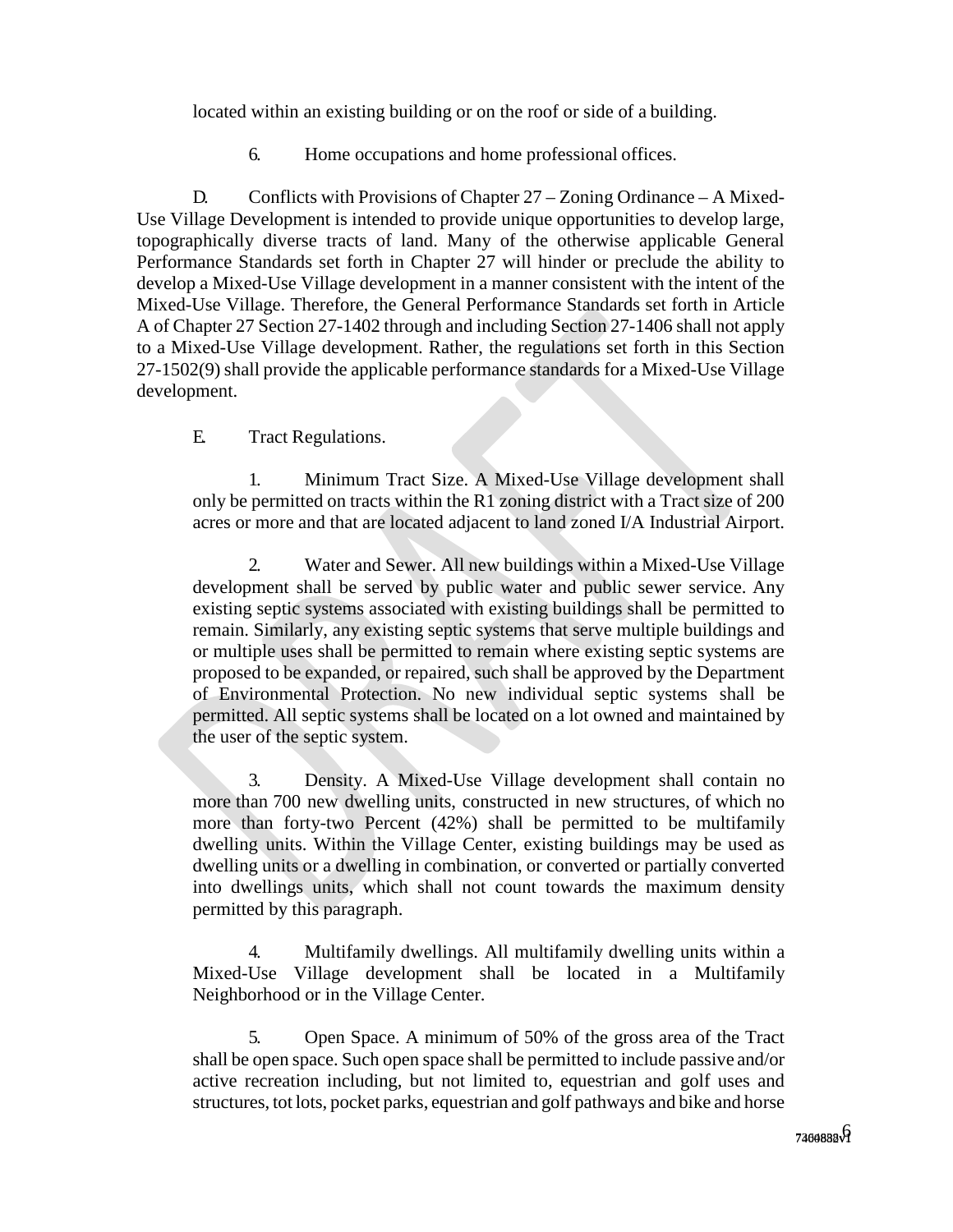located within an existing building or on the roof or side of a building.

6. Home occupations and home professional offices.

D. Conflicts with Provisions of Chapter 27 – Zoning Ordinance – A Mixed-Use Village Development is intended to provide unique opportunities to develop large, topographically diverse tracts of land. Many of the otherwise applicable General Performance Standards set forth in Chapter 27 will hinder or preclude the ability to develop a Mixed-Use Village development in a manner consistent with the intent of the Mixed-Use Village. Therefore, the General Performance Standards set forth in Article A of Chapter 27 Section 27-1402 through and including Section 27-1406 shall not apply to a Mixed-Use Village development. Rather, the regulations set forth in this Section 27-1502(9) shall provide the applicable performance standards for a Mixed-Use Village development.

### E. Tract Regulations.

1. Minimum Tract Size. A Mixed-Use Village development shall only be permitted on tracts within the R1 zoning district with a Tract size of 200 acres or more and that are located adjacent to land zoned I/A Industrial Airport.

2. Water and Sewer. All new buildings within a Mixed-Use Village development shall be served by public water and public sewer service. Any existing septic systems associated with existing buildings shall be permitted to remain. Similarly, any existing septic systems that serve multiple buildings and or multiple uses shall be permitted to remain where existing septic systems are proposed to be expanded, or repaired, such shall be approved by the Department of Environmental Protection. No new individual septic systems shall be permitted. All septic systems shall be located on a lot owned and maintained by the user of the septic system.

3. Density. A Mixed-Use Village development shall contain no more than 700 new dwelling units, constructed in new structures, of which no more than forty-two Percent (42%) shall be permitted to be multifamily dwelling units. Within the Village Center, existing buildings may be used as dwelling units or a dwelling in combination, or converted or partially converted into dwellings units, which shall not count towards the maximum density permitted by this paragraph.

4. Multifamily dwellings. All multifamily dwelling units within a Mixed-Use Village development shall be located in a Multifamily Neighborhood or in the Village Center.

5. Open Space. A minimum of 50% of the gross area of the Tract shall be open space. Such open space shall be permitted to include passive and/or active recreation including, but not limited to, equestrian and golf uses and structures, tot lots, pocket parks, equestrian and golf pathways and bike and horse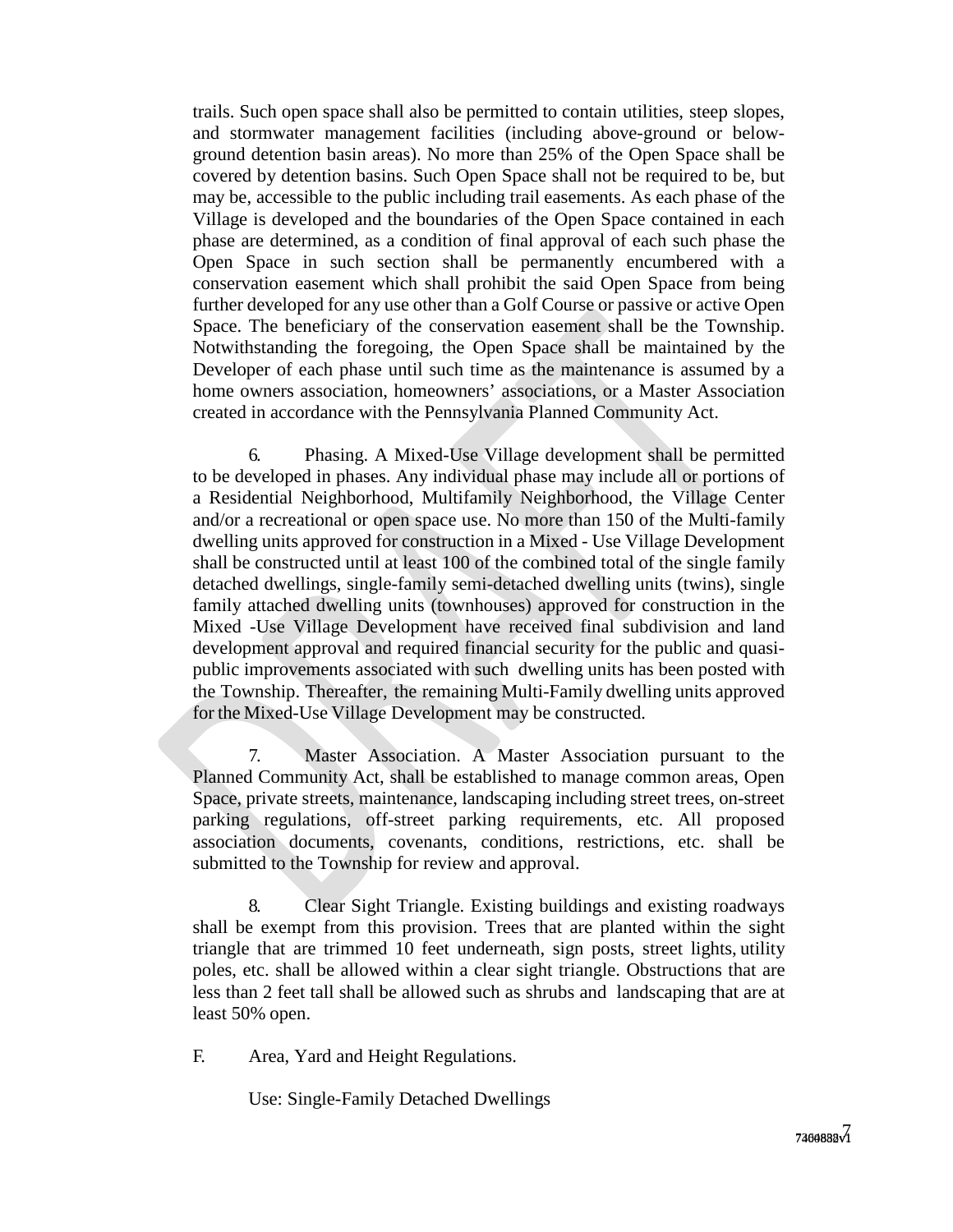trails. Such open space shall also be permitted to contain utilities, steep slopes, and stormwater management facilities (including above-ground or belowground detention basin areas). No more than 25% of the Open Space shall be covered by detention basins. Such Open Space shall not be required to be, but may be, accessible to the public including trail easements. As each phase of the Village is developed and the boundaries of the Open Space contained in each phase are determined, as a condition of final approval of each such phase the Open Space in such section shall be permanently encumbered with a conservation easement which shall prohibit the said Open Space from being further developed for any use other than a Golf Course or passive or active Open Space. The beneficiary of the conservation easement shall be the Township. Notwithstanding the foregoing, the Open Space shall be maintained by the Developer of each phase until such time as the maintenance is assumed by a home owners association, homeowners' associations, or a Master Association created in accordance with the Pennsylvania Planned Community Act.

6. Phasing. A Mixed-Use Village development shall be permitted to be developed in phases. Any individual phase may include all or portions of a Residential Neighborhood, Multifamily Neighborhood, the Village Center and/or a recreational or open space use. No more than 150 of the Multi-family dwelling units approved for construction in a Mixed - Use Village Development shall be constructed until at least 100 of the combined total of the single family detached dwellings, single-family semi-detached dwelling units (twins), single family attached dwelling units (townhouses) approved for construction in the Mixed -Use Village Development have received final subdivision and land development approval and required financial security for the public and quasipublic improvements associated with such dwelling units has been posted with the Township. Thereafter, the remaining Multi-Family dwelling units approved for the Mixed-Use Village Development may be constructed.

7. Master Association. A Master Association pursuant to the Planned Community Act, shall be established to manage common areas, Open Space, private streets, maintenance, landscaping including street trees, on-street parking regulations, off-street parking requirements, etc. All proposed association documents, covenants, conditions, restrictions, etc. shall be submitted to the Township for review and approval.

8. Clear Sight Triangle. Existing buildings and existing roadways shall be exempt from this provision. Trees that are planted within the sight triangle that are trimmed 10 feet underneath, sign posts, street lights, utility poles, etc. shall be allowed within a clear sight triangle. Obstructions that are less than 2 feet tall shall be allowed such as shrubs and landscaping that are at least 50% open.

F. Area, Yard and Height Regulations.

Use: Single-Family Detached Dwellings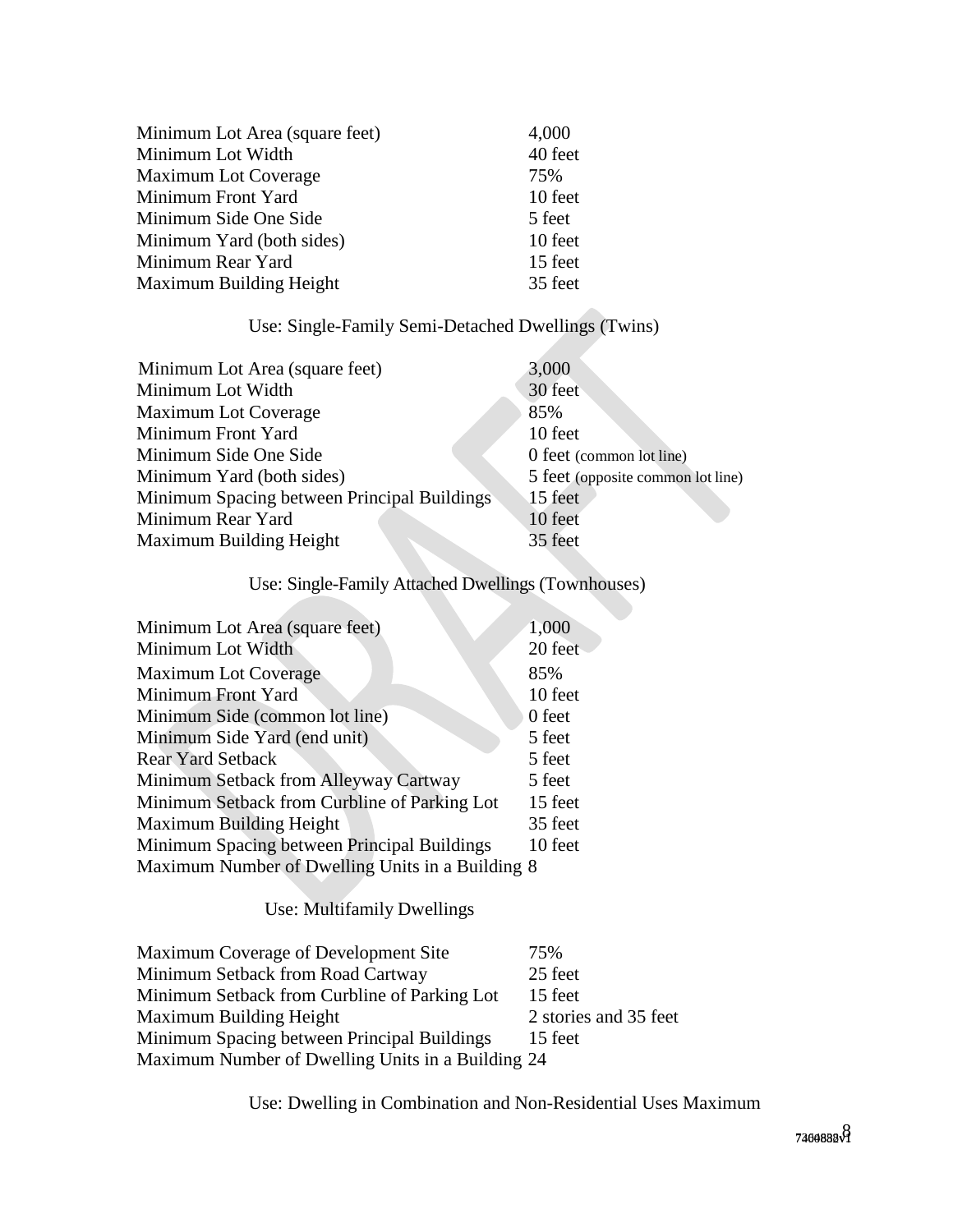| Minimum Lot Area (square feet) | 4,000   |
|--------------------------------|---------|
| Minimum Lot Width              | 40 feet |
| Maximum Lot Coverage           | 75%     |
| Minimum Front Yard             | 10 feet |
| Minimum Side One Side          | 5 feet  |
| Minimum Yard (both sides)      | 10 feet |
| Minimum Rear Yard              | 15 feet |
| Maximum Building Height        | 35 feet |

# Use: Single-Family Semi-Detached Dwellings (Twins)

| Minimum Lot Area (square feet)              | 3,000                             |
|---------------------------------------------|-----------------------------------|
| Minimum Lot Width                           | 30 feet                           |
| Maximum Lot Coverage                        | 85%                               |
| Minimum Front Yard                          | 10 feet                           |
| Minimum Side One Side                       | 0 feet (common lot line)          |
| Minimum Yard (both sides)                   | 5 feet (opposite common lot line) |
| Minimum Spacing between Principal Buildings | 15 feet                           |
| Minimum Rear Yard                           | 10 feet                           |
| Maximum Building Height                     | 35 feet                           |
|                                             |                                   |

# Use: Single-Family Attached Dwellings (Townhouses)

| Minimum Lot Area (square feet)                   | 1,000   |
|--------------------------------------------------|---------|
| Minimum Lot Width                                | 20 feet |
| <b>Maximum Lot Coverage</b>                      | 85%     |
| Minimum Front Yard                               | 10 feet |
| Minimum Side (common lot line)                   | 0 feet  |
| Minimum Side Yard (end unit)                     | 5 feet  |
| <b>Rear Yard Setback</b>                         | 5 feet  |
| Minimum Setback from Alleyway Cartway            | 5 feet  |
| Minimum Setback from Curbline of Parking Lot     | 15 feet |
| Maximum Building Height                          | 35 feet |
| Minimum Spacing between Principal Buildings      | 10 feet |
| Maximum Number of Dwelling Units in a Building 8 |         |
|                                                  |         |

# Use: Multifamily Dwellings

| Maximum Coverage of Development Site              | 75%                   |
|---------------------------------------------------|-----------------------|
| Minimum Setback from Road Cartway                 | 25 feet               |
| Minimum Setback from Curbline of Parking Lot      | 15 feet               |
| Maximum Building Height                           | 2 stories and 35 feet |
| Minimum Spacing between Principal Buildings       | 15 feet               |
| Maximum Number of Dwelling Units in a Building 24 |                       |

Use: Dwelling in Combination and Non-Residential Uses Maximum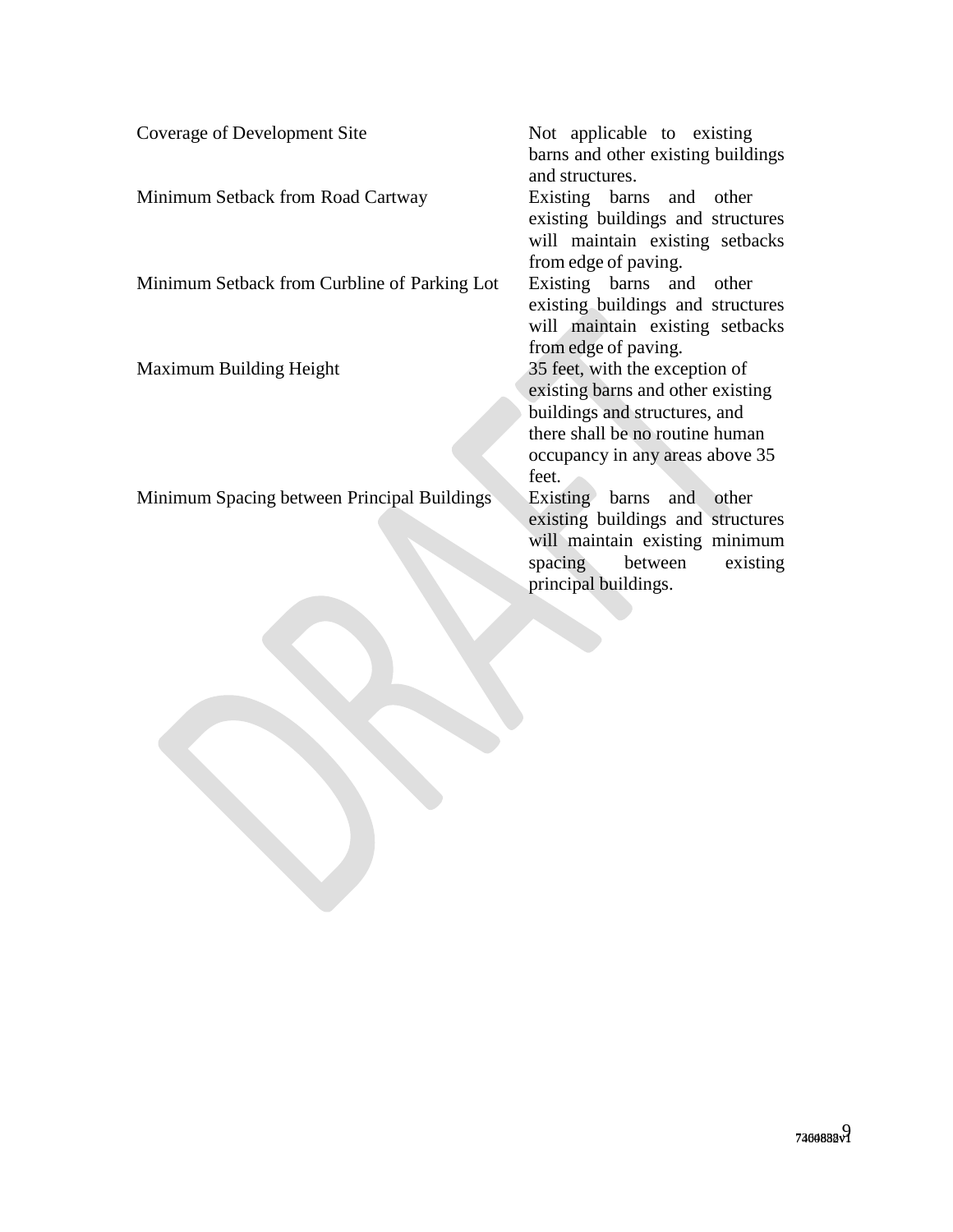Coverage of Development Site Not applicable to existing

Minimum Setback from Road Cartway Existing barns and other

Minimum Setback from Curbline of Parking Lot Existing barns and other

Minimum Spacing between Principal Buildings Existing barns and other

barns and other existing buildings and structures. existing buildings and structures will maintain existing setbacks from edge of paving. existing buildings and structures will maintain existing setbacks from edge of paving. Maximum Building Height 35 feet, with the exception of existing barns and other existing buildings and structures, and there shall be no routine human occupancy in any areas above 35 feet. existing buildings and structures will maintain existing minimum

spacing between existing

principal buildings.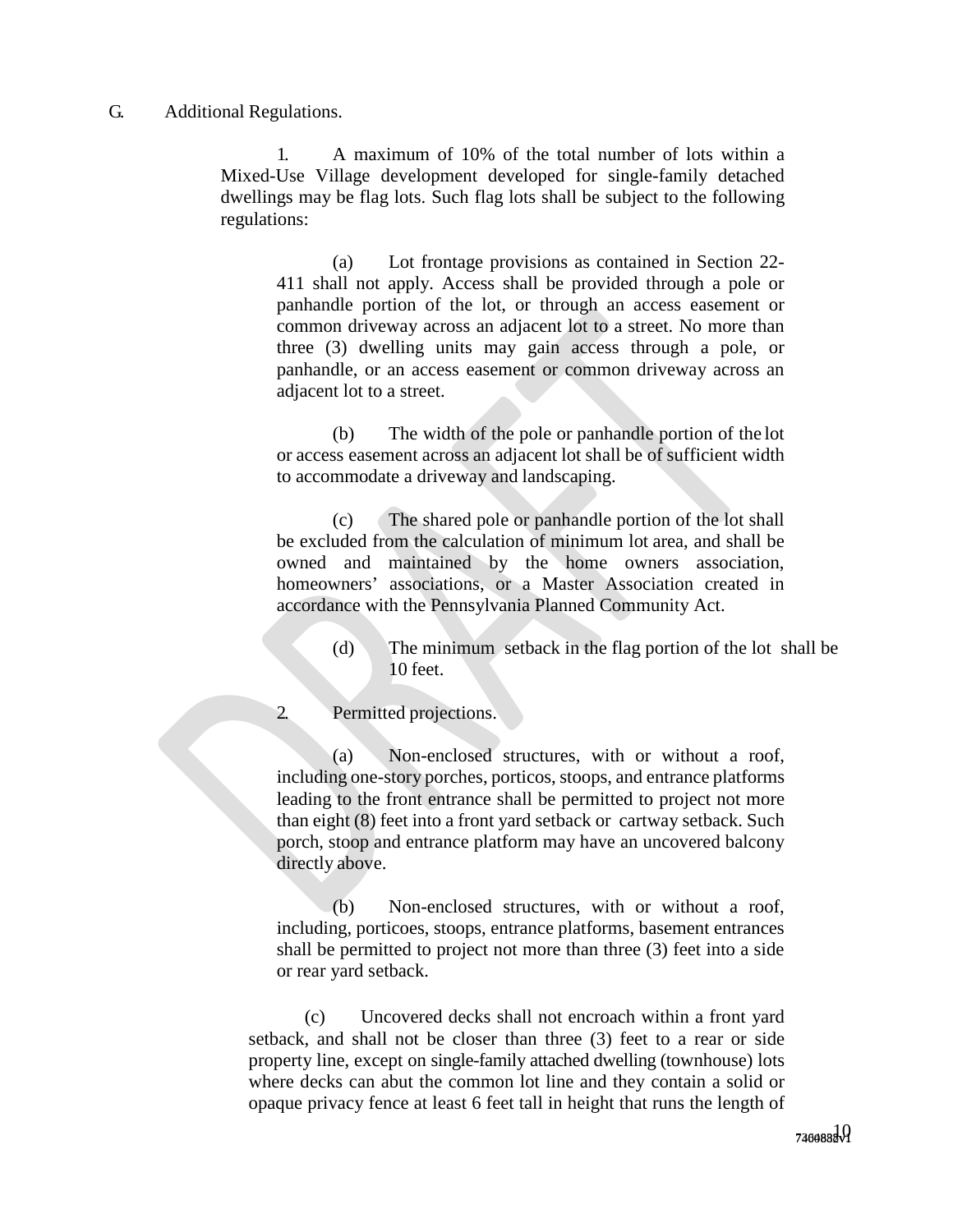### G. Additional Regulations.

1. A maximum of 10% of the total number of lots within a Mixed-Use Village development developed for single-family detached dwellings may be flag lots. Such flag lots shall be subject to the following regulations:

(a) Lot frontage provisions as contained in Section 22- 411 shall not apply. Access shall be provided through a pole or panhandle portion of the lot, or through an access easement or common driveway across an adjacent lot to a street. No more than three (3) dwelling units may gain access through a pole, or panhandle, or an access easement or common driveway across an adjacent lot to a street.

(b) The width of the pole or panhandle portion of the lot or access easement across an adjacent lot shall be of sufficient width to accommodate a driveway and landscaping.

(c) The shared pole or panhandle portion of the lot shall be excluded from the calculation of minimum lot area, and shall be owned and maintained by the home owners association, homeowners' associations, or a Master Association created in accordance with the Pennsylvania Planned Community Act.

- (d) The minimum setback in the flag portion of the lot shall be 10 feet.
- 2. Permitted projections.

(a) Non-enclosed structures, with or without a roof, including one-story porches, porticos, stoops, and entrance platforms leading to the front entrance shall be permitted to project not more than eight (8) feet into a front yard setback or cartway setback. Such porch, stoop and entrance platform may have an uncovered balcony directly above.

(b) Non-enclosed structures, with or without a roof, including, porticoes, stoops, entrance platforms, basement entrances shall be permitted to project not more than three (3) feet into a side or rear yard setback.

(c) Uncovered decks shall not encroach within a front yard setback, and shall not be closer than three (3) feet to a rear or side property line, except on single-family attached dwelling (townhouse) lots where decks can abut the common lot line and they contain a solid or opaque privacy fence at least 6 feet tall in height that runs the length of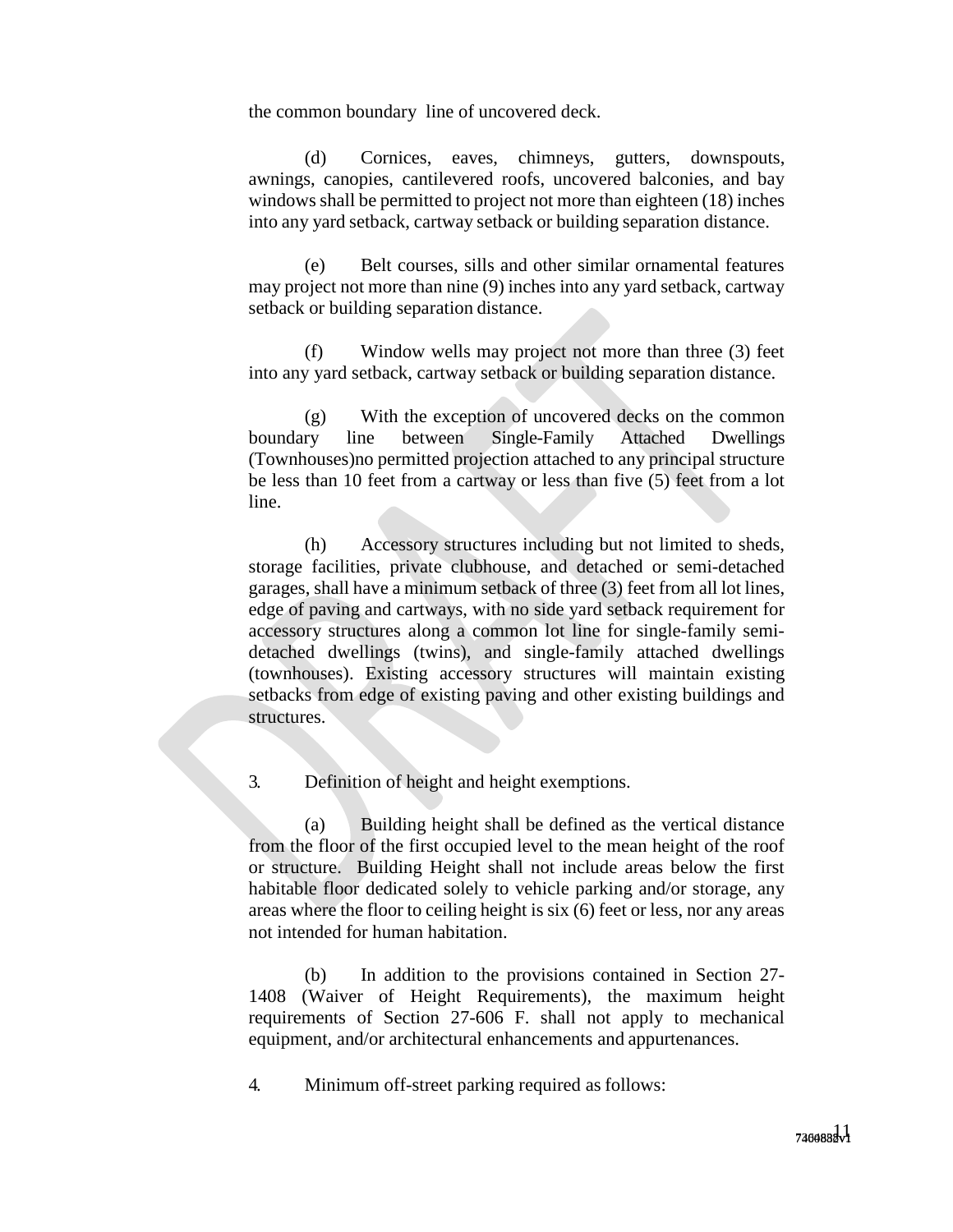the common boundary line of uncovered deck.

(d) Cornices, eaves, chimneys, gutters, downspouts, awnings, canopies, cantilevered roofs, uncovered balconies, and bay windows shall be permitted to project not more than eighteen (18) inches into any yard setback, cartway setback or building separation distance.

(e) Belt courses, sills and other similar ornamental features may project not more than nine (9) inches into any yard setback, cartway setback or building separation distance.

(f) Window wells may project not more than three (3) feet into any yard setback, cartway setback or building separation distance.

(g) With the exception of uncovered decks on the common boundary line between Single-Family Attached Dwellings (Townhouses)no permitted projection attached to any principal structure be less than 10 feet from a cartway or less than five (5) feet from a lot line.

(h) Accessory structures including but not limited to sheds, storage facilities, private clubhouse, and detached or semi-detached garages, shall have a minimum setback of three (3) feet from all lot lines, edge of paving and cartways, with no side yard setback requirement for accessory structures along a common lot line for single-family semidetached dwellings (twins), and single-family attached dwellings (townhouses). Existing accessory structures will maintain existing setbacks from edge of existing paving and other existing buildings and structures.

3. Definition of height and height exemptions.

(a) Building height shall be defined as the vertical distance from the floor of the first occupied level to the mean height of the roof or structure. Building Height shall not include areas below the first habitable floor dedicated solely to vehicle parking and/or storage, any areas where the floor to ceiling height is six (6) feet or less, nor any areas not intended for human habitation.

(b) In addition to the provisions contained in Section 27- 1408 (Waiver of Height Requirements), the maximum height requirements of Section 27-606 F. shall not apply to mechanical equipment, and/or architectural enhancements and appurtenances.

4. Minimum off-street parking required as follows: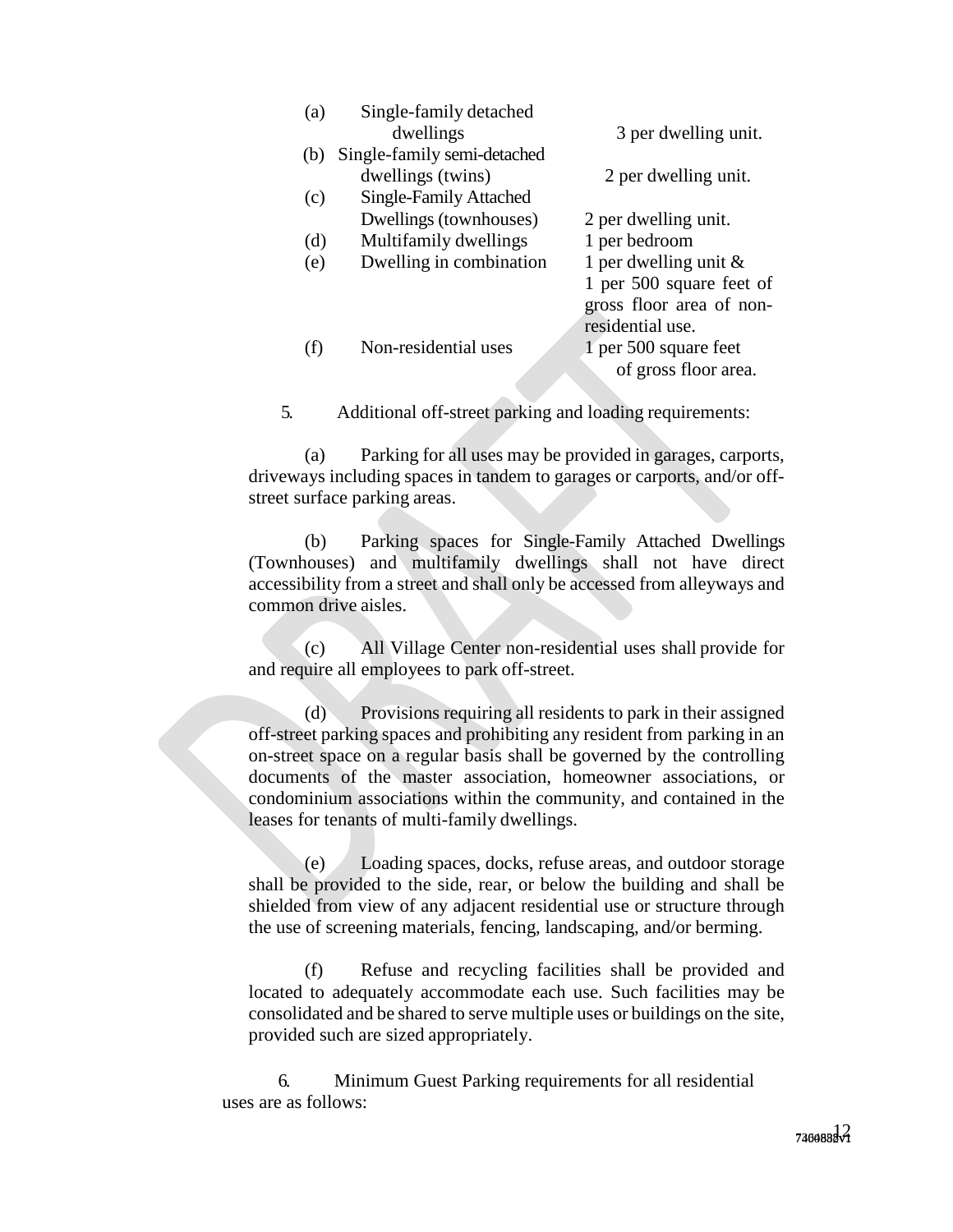| (a) | Single-family detached      |                          |
|-----|-----------------------------|--------------------------|
|     | dwellings                   | 3 per dwelling unit.     |
| (b) | Single-family semi-detached |                          |
|     | dwellings (twins)           | 2 per dwelling unit.     |
| (c) | Single-Family Attached      |                          |
|     | Dwellings (townhouses)      | 2 per dwelling unit.     |
| (d) | Multifamily dwellings       | 1 per bedroom            |
| (e) | Dwelling in combination     | 1 per dwelling unit $\&$ |
|     |                             | 1 per 500 square feet of |
|     |                             | gross floor area of non- |
|     |                             | residential use.         |
| (f) | Non-residential uses        | 1 per 500 square feet    |
|     |                             | of gross floor area.     |
|     |                             |                          |

5. Additional off-street parking and loading requirements:

(a) Parking for all uses may be provided in garages, carports, driveways including spaces in tandem to garages or carports, and/or offstreet surface parking areas.

(b) Parking spaces for Single-Family Attached Dwellings (Townhouses) and multifamily dwellings shall not have direct accessibility from a street and shall only be accessed from alleyways and common drive aisles.

(c) All Village Center non-residential uses shall provide for and require all employees to park off-street.

(d) Provisions requiring all residents to park in their assigned off-street parking spaces and prohibiting any resident from parking in an on-street space on a regular basis shall be governed by the controlling documents of the master association, homeowner associations, or condominium associations within the community, and contained in the leases for tenants of multi-family dwellings.

(e) Loading spaces, docks, refuse areas, and outdoor storage shall be provided to the side, rear, or below the building and shall be shielded from view of any adjacent residential use or structure through the use of screening materials, fencing, landscaping, and/or berming.

(f) Refuse and recycling facilities shall be provided and located to adequately accommodate each use. Such facilities may be consolidated and be shared to serve multiple uses or buildings on the site, provided such are sized appropriately.

6. Minimum Guest Parking requirements for all residential uses are as follows: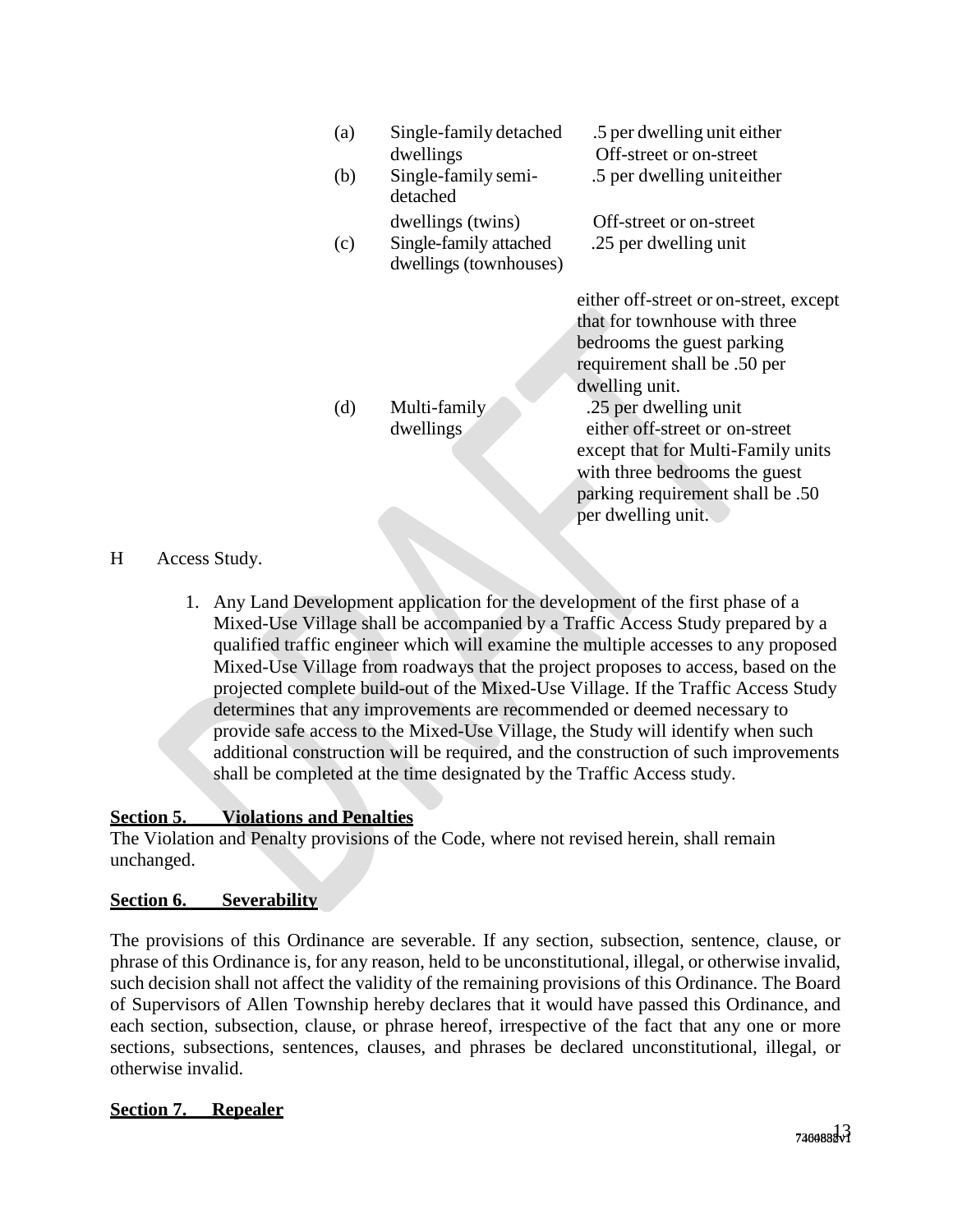| (a)<br>(b) | Single-family detached<br>dwellings<br>Single-family semi-<br>detached | .5 per dwelling unit either<br>Off-street or on-street<br>.5 per dwelling uniteither                                                                                                                                                                                                                                                                |
|------------|------------------------------------------------------------------------|-----------------------------------------------------------------------------------------------------------------------------------------------------------------------------------------------------------------------------------------------------------------------------------------------------------------------------------------------------|
| (c)        | dwellings (twins)<br>Single-family attached<br>dwellings (townhouses)  | Off-street or on-street<br>.25 per dwelling unit                                                                                                                                                                                                                                                                                                    |
| (d)        | Multi-family<br>dwellings                                              | either off-street or on-street, except<br>that for townhouse with three<br>bedrooms the guest parking<br>requirement shall be .50 per<br>dwelling unit.<br>.25 per dwelling unit<br>either off-street or on-street<br>except that for Multi-Family units<br>with three bedrooms the guest<br>parking requirement shall be .50<br>per dwelling unit. |

# H Access Study.

1. Any Land Development application for the development of the first phase of a Mixed-Use Village shall be accompanied by a Traffic Access Study prepared by a qualified traffic engineer which will examine the multiple accesses to any proposed Mixed-Use Village from roadways that the project proposes to access, based on the projected complete build-out of the Mixed-Use Village. If the Traffic Access Study determines that any improvements are recommended or deemed necessary to provide safe access to the Mixed-Use Village, the Study will identify when such additional construction will be required, and the construction of such improvements shall be completed at the time designated by the Traffic Access study.

# **Section 5. Violations and Penalties**

The Violation and Penalty provisions of the Code, where not revised herein, shall remain unchanged.

# **Section 6. Severability**

The provisions of this Ordinance are severable. If any section, subsection, sentence, clause, or phrase of this Ordinance is, for any reason, held to be unconstitutional, illegal, or otherwise invalid, such decision shall not affect the validity of the remaining provisions of this Ordinance. The Board of Supervisors of Allen Township hereby declares that it would have passed this Ordinance, and each section, subsection, clause, or phrase hereof, irrespective of the fact that any one or more sections, subsections, sentences, clauses, and phrases be declared unconstitutional, illegal, or otherwise invalid.

# **Section 7. Repealer**